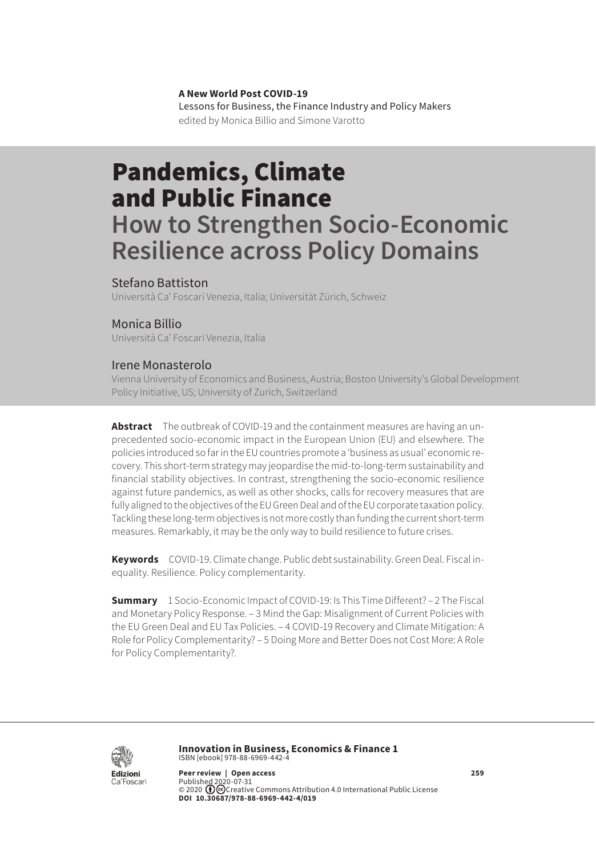#### **A New World Post COVID-19**

Lessons for Business, the Finance Industry and Policy Makers edited by Monica Billio and Simone Varotto

# Pandemics, Climate and Public Finance

## **How to Strengthen Socio-Economic Resilience across Policy Domains**

#### Stefano Battiston

Università Ca' Foscari Venezia, Italia; Universität Zürich, Schweiz

#### Monica Billio

Università Ca' Foscari Venezia, Italia

#### Irene Monasterolo

Vienna University of Economics and Business, Austria; Boston University's Global Development Policy Initiative, US; University of Zurich, Switzerland

**Abstract** The outbreak of COVID-19 and the containment measures are having an unprecedented socio-economic impact in the European Union (EU) and elsewhere. The policies introduced so far in the EU countries promote a 'business as usual' economic recovery. This short-term strategy may jeopardise the mid-to-long-term sustainability and financial stability objectives. In contrast, strengthening the socio-economic resilience against future pandemics, as well as other shocks, calls for recovery measures that are fully aligned to the objectives of the EU Green Deal and of the EU corporate taxation policy. Tackling these long-term objectives is not more costly than funding the current short-term measures. Remarkably, it may be the only way to build resilience to future crises.

**Keywords** COVID-19. Climate change. Public debt sustainability. Green Deal. Fiscal inequality. Resilience. Policy complementarity.

**Summary** [1 Socio-Economic Impact of COVID-19: Is This Time Different?](#page-1-0) – [2 The Fiscal](#page-2-0)  [and Monetary Policy Response](#page-2-0). – [3 Mind the Gap: Misalignment of Current Policies with](#page-4-0)  [the EU Green Deal and EU Tax Policies](#page-4-0)[. – 4 COVID-19 Recovery and Climate Mitigation: A](#page-5-0)  [Role for Policy Complementarity?](#page-5-0) [– 5 Doing More and Better Does not Cost More:](#page-7-0) A Role for Policy Complementarity?.



**Innovation in Business, Economics & Finance 1** ISBN [ebook] 978-88-6969-442-4

**Peer review | Open access 259** Published 2020-07-31<br>© 2020 ��©Creative [Commons Attribution 4.0 International Public License](https://creativecommons.org/licenses/by/4.0/) **DOI 10.30687/978-88-6969-442-4/019**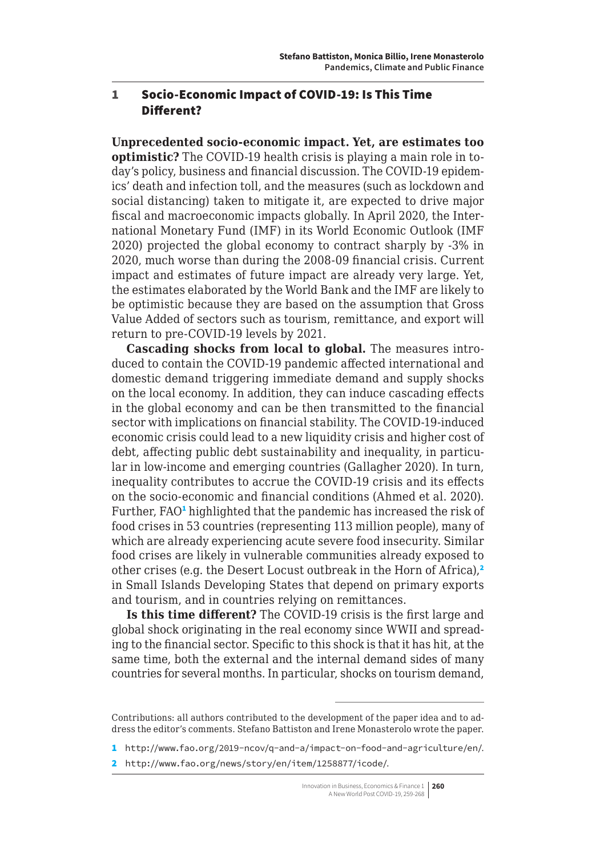#### <span id="page-1-0"></span>1 Socio-Economic Impact of COVID-19: Is This Time Different?

**Unprecedented socio-economic impact. Yet, are estimates too optimistic?** The COVID-19 health crisis is playing a main role in today's policy, business and financial discussion. The COVID-19 epidemics' death and infection toll, and the measures (such as lockdown and social distancing) taken to mitigate it, are expected to drive major fiscal and macroeconomic impacts globally. In April 2020, the International Monetary Fund (IMF) in its World Economic Outlook (IMF 2020) projected the global economy to contract sharply by -3% in 2020, much worse than during the 2008-09 financial crisis. Current impact and estimates of future impact are already very large. Yet, the estimates elaborated by the World Bank and the IMF are likely to be optimistic because they are based on the assumption that Gross Value Added of sectors such as tourism, remittance, and export will return to pre-COVID-19 levels by 2021.

**Cascading shocks from local to global.** The measures introduced to contain the COVID-19 pandemic affected international and domestic demand triggering immediate demand and supply shocks on the local economy. In addition, they can induce cascading effects in the global economy and can be then transmitted to the financial sector with implications on financial stability. The COVID-19-induced economic crisis could lead to a new liquidity crisis and higher cost of debt, affecting public debt sustainability and inequality, in particular in low-income and emerging countries (Gallagher 2020). In turn, inequality contributes to accrue the COVID-19 crisis and its effects on the socio-economic and financial conditions (Ahmed et al. 2020). Further, FAO<sup>1</sup> highlighted that the pandemic has increased the risk of food crises in 53 countries (representing 113 million people), many of which are already experiencing acute severe food insecurity. Similar food crises are likely in vulnerable communities already exposed to other crises (e.g. the Desert Locust outbreak in the Horn of Africa),<sup>2</sup> in Small Islands Developing States that depend on primary exports and tourism, and in countries relying on remittances.

**Is this time different?** The COVID-19 crisis is the first large and global shock originating in the real economy since WWII and spreading to the financial sector. Specific to this shock is that it has hit, at the same time, both the external and the internal demand sides of many countries for several months. In particular, shocks on tourism demand,

Contributions: all authors contributed to the development of the paper idea and to address the editor's comments. Stefano Battiston and Irene Monasterolo wrote the paper.

<sup>1</sup> <http://www.fao.org/2019-ncov/q-and-a/impact-on-food-and-agriculture/en/>.

<sup>2</sup> <http://www.fao.org/news/story/en/item/1258877/icode/>.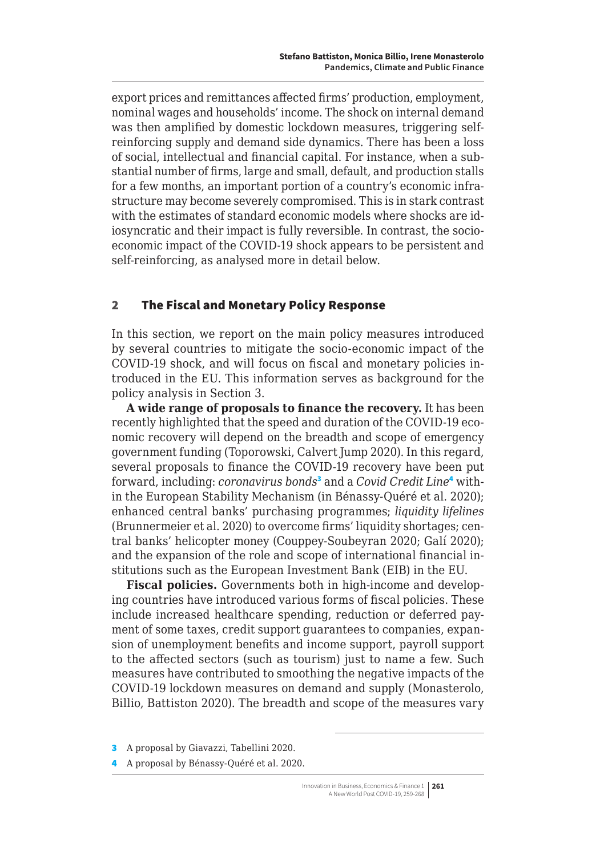<span id="page-2-0"></span>export prices and remittances affected firms' production, employment, nominal wages and households' income. The shock on internal demand was then amplified by domestic lockdown measures, triggering selfreinforcing supply and demand side dynamics. There has been a loss of social, intellectual and financial capital. For instance, when a substantial number of firms, large and small, default, and production stalls for a few months, an important portion of a country's economic infrastructure may become severely compromised. This is in stark contrast with the estimates of standard economic models where shocks are idiosyncratic and their impact is fully reversible. In contrast, the socioeconomic impact of the COVID-19 shock appears to be persistent and self-reinforcing, as analysed more in detail below.

#### 2 The Fiscal and Monetary Policy Response

In this section, we report on the main policy measures introduced by several countries to mitigate the socio-economic impact of the COVID-19 shock, and will focus on fiscal and monetary policies introduced in the EU. This information serves as background for the policy analysis in Section 3.

**A wide range of proposals to finance the recovery.** It has been recently highlighted that the speed and duration of the COVID-19 economic recovery will depend on the breadth and scope of emergency government funding (Toporowski, Calvert Jump 2020). In this regard, several proposals to finance the COVID-19 recovery have been put forward, including: *coronavirus bonds*<sup>3</sup> and a *Covid Credit Line*<sup>4</sup> within the European Stability Mechanism (in Bénassy-Quéré et al. 2020); enhanced central banks' purchasing programmes; *liquidity lifelines*  (Brunnermeier et al. 2020) to overcome firms' liquidity shortages; central banks' helicopter money (Couppey-Soubeyran 2020; Galí 2020); and the expansion of the role and scope of international financial institutions such as the European Investment Bank (EIB) in the EU.

**Fiscal policies.** Governments both in high-income and developing countries have introduced various forms of fiscal policies. These include increased healthcare spending, reduction or deferred payment of some taxes, credit support guarantees to companies, expansion of unemployment benefits and income support, payroll support to the affected sectors (such as tourism) just to name a few. Such measures have contributed to smoothing the negative impacts of the COVID-19 lockdown measures on demand and supply (Monasterolo, Billio, Battiston 2020). The breadth and scope of the measures vary

<sup>3</sup> A proposal by Giavazzi, Tabellini 2020.

<sup>4</sup> A proposal by Bénassy-Quéré et al. 2020.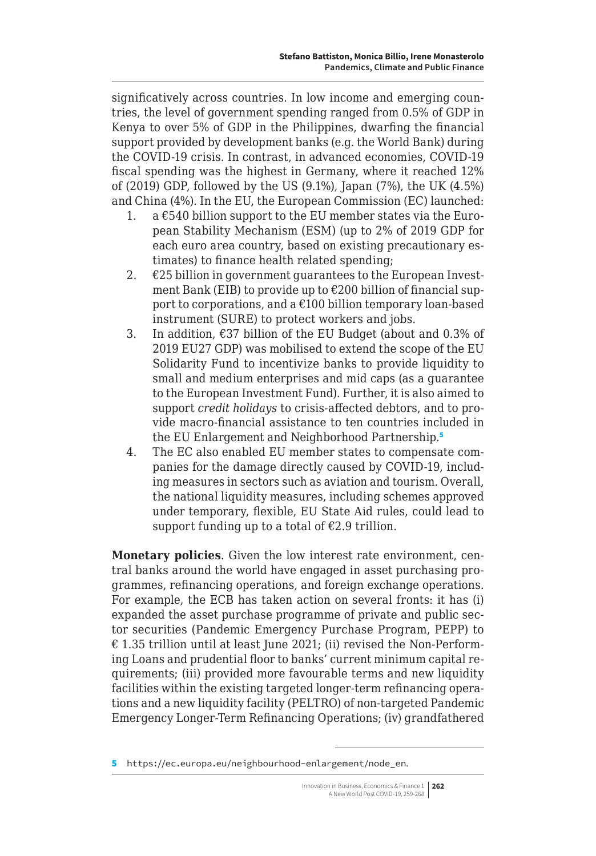significatively across countries. In low income and emerging countries, the level of government spending ranged from 0.5% of GDP in Kenya to over 5% of GDP in the Philippines, dwarfing the financial support provided by development banks (e.g. the World Bank) during the COVID-19 crisis. In contrast, in advanced economies, COVID-19 fiscal spending was the highest in Germany, where it reached 12% of (2019) GDP, followed by the US (9.1%), Japan (7%), the UK (4.5%) and China (4%). In the EU, the European Commission (EC) launched:

- 1. a  $£540$  billion support to the EU member states via the European Stability Mechanism (ESM) (up to 2% of 2019 GDP for each euro area country, based on existing precautionary estimates) to finance health related spending;
- 2.  $\epsilon$ 25 billion in government guarantees to the European Investment Bank (EIB) to provide up to €200 billion of financial support to corporations, and a €100 billion temporary loan-based instrument (SURE) to protect workers and jobs.
- 3. In addition, €37 billion of the EU Budget (about and 0.3% of 2019 EU27 GDP) was mobilised to extend the scope of the EU Solidarity Fund to incentivize banks to provide liquidity to small and medium enterprises and mid caps (as a guarantee to the European Investment Fund). Further, it is also aimed to support *credit holidays* to crisis-affected debtors, and to provide macro-financial assistance to ten countries included in the EU Enlargement and Neighborhood Partnership.<sup>5</sup>
- 4. The EC also enabled EU member states to compensate companies for the damage directly caused by COVID-19, including measures in sectors such as aviation and tourism. Overall, the national liquidity measures, including schemes approved under temporary, flexible, EU State Aid rules, could lead to support funding up to a total of  $E2.9$  trillion.

**Monetary policies**. Given the low interest rate environment, central banks around the world have engaged in asset purchasing programmes, refinancing operations, and foreign exchange operations. For example, the ECB has taken action on several fronts: it has (i) expanded the asset purchase programme of private and public sector securities (Pandemic Emergency Purchase Program, PEPP) to € 1.35 trillion until at least June 2021; (ii) revised the Non-Performing Loans and prudential floor to banks' current minimum capital requirements; (iii) provided more favourable terms and new liquidity facilities within the existing targeted longer-term refinancing operations and a new liquidity facility (PELTRO) of non-targeted Pandemic Emergency Longer-Term Refinancing Operations; (iv) grandfathered

<sup>5</sup> [https://ec.europa.eu/neighbourhood-enlargement/node\\_en](https://ec.europa.eu/neighbourhood-enlargement/node_en).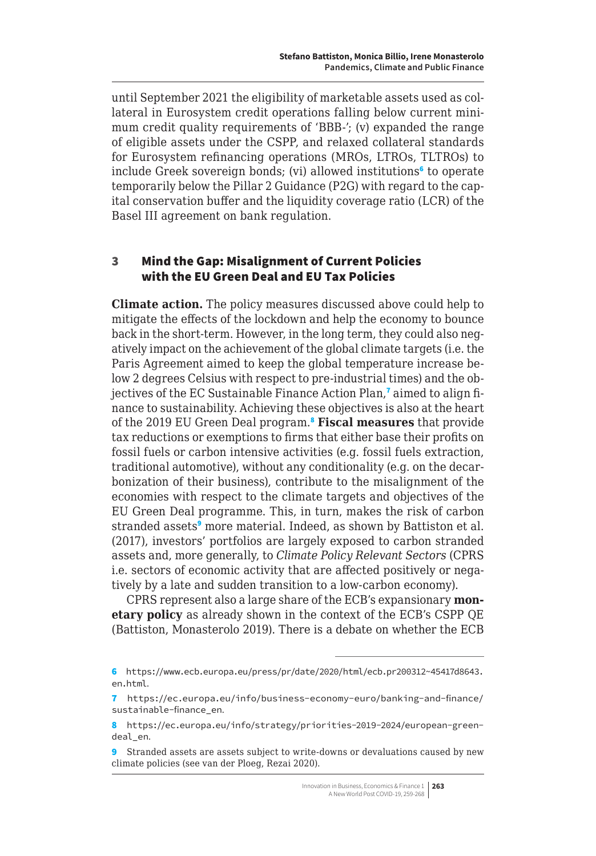<span id="page-4-0"></span>until September 2021 the eligibility of marketable assets used as collateral in Eurosystem credit operations falling below current minimum credit quality requirements of 'BBB-'; (v) expanded the range of eligible assets under the CSPP, and relaxed collateral standards for Eurosystem refinancing operations (MROs, LTROs, TLTROs) to include Greek sovereign bonds; (vi) allowed institutions<sup>6</sup> to operate temporarily below the Pillar 2 Guidance (P2G) with regard to the capital conservation buffer and the liquidity coverage ratio (LCR) of the Basel III agreement on bank regulation.

#### 3 Mind the Gap: Misalignment of Current Policies with the EU Green Deal and EU Tax Policies

**Climate action.** The policy measures discussed above could help to mitigate the effects of the lockdown and help the economy to bounce back in the short-term. However, in the long term, they could also negatively impact on the achievement of the global climate targets (i.e. the Paris Agreement aimed to keep the global temperature increase below 2 degrees Celsius with respect to pre-industrial times) and the objectives of the EC Sustainable Finance Action Plan,<sup>7</sup> aimed to align finance to sustainability. Achieving these objectives is also at the heart of the 2019 EU Green Deal program.<sup>8</sup> **Fiscal measures** that provide tax reductions or exemptions to firms that either base their profits on fossil fuels or carbon intensive activities (e.g. fossil fuels extraction, traditional automotive), without any conditionality (e.g. on the decarbonization of their business), contribute to the misalignment of the economies with respect to the climate targets and objectives of the EU Green Deal programme. This, in turn, makes the risk of carbon stranded assets<sup>9</sup> more material. Indeed, as shown by Battiston et al. (2017), investors' portfolios are largely exposed to carbon stranded assets and, more generally, to *Climate Policy Relevant Sectors* (CPRS i.e. sectors of economic activity that are affected positively or negatively by a late and sudden transition to a low-carbon economy).

CPRS represent also a large share of the ECB's expansionary **monetary policy** as already shown in the context of the ECB's CSPP QE (Battiston, Monasterolo 2019). There is a debate on whether the ECB

<sup>6</sup> [https://www.ecb.europa.eu/press/pr/date/2020/html/ecb.pr200312~45417d8643.](https://www.ecb.europa.eu/press/pr/date/2020/html/ecb.pr200312~45417d8643.en.html) [en.html](https://www.ecb.europa.eu/press/pr/date/2020/html/ecb.pr200312~45417d8643.en.html).

<sup>7</sup> [https://ec.europa.eu/info/business-economy-euro/banking-and-finance/](https://ec.europa.eu/info/business-economy-euro/banking-and-finance/sustainable-finance_en) [sustainable-finance\\_en](https://ec.europa.eu/info/business-economy-euro/banking-and-finance/sustainable-finance_en).

<sup>8</sup> [https://ec.europa.eu/info/strategy/priorities-2019-2024/european-green](https://ec.europa.eu/info/strategy/priorities-2019-2024/european-green-deal_en)[deal\\_en](https://ec.europa.eu/info/strategy/priorities-2019-2024/european-green-deal_en).

<sup>9</sup> Stranded assets are assets subject to write-downs or devaluations caused by new climate policies (see van der Ploeg, Rezai 2020).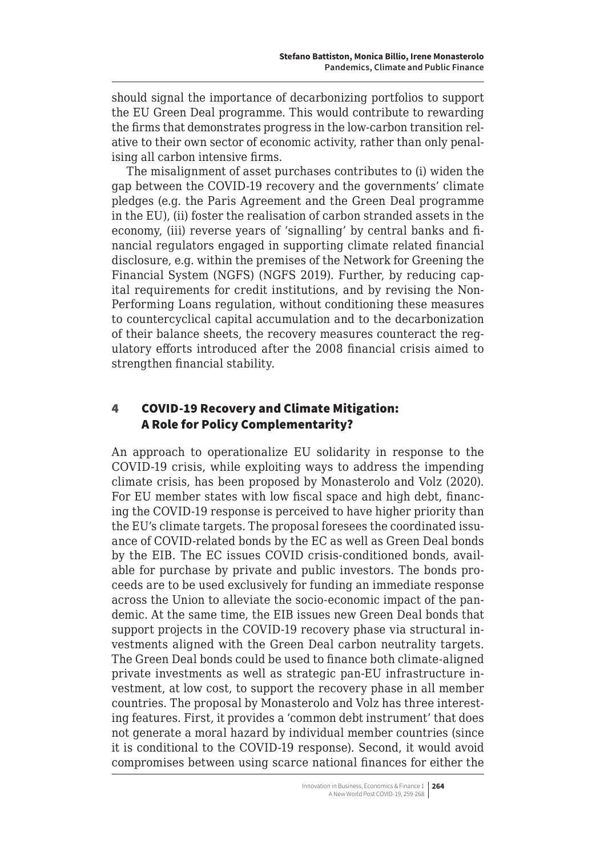<span id="page-5-0"></span>should signal the importance of decarbonizing portfolios to support the EU Green Deal programme. This would contribute to rewarding the firms that demonstrates progress in the low-carbon transition relative to their own sector of economic activity, rather than only penalising all carbon intensive firms.

The misalignment of asset purchases contributes to (i) widen the gap between the COVID-19 recovery and the governments' climate pledges (e.g. the Paris Agreement and the Green Deal programme in the EU), (ii) foster the realisation of carbon stranded assets in the economy, (iii) reverse years of 'signalling' by central banks and financial regulators engaged in supporting climate related financial disclosure, e.g. within the premises of the Network for Greening the Financial System (NGFS) (NGFS 2019). Further, by reducing capital requirements for credit institutions, and by revising the Non-Performing Loans regulation, without conditioning these measures to countercyclical capital accumulation and to the decarbonization of their balance sheets, the recovery measures counteract the regulatory efforts introduced after the 2008 financial crisis aimed to strengthen financial stability.

### 4 COVID-19 Recovery and Climate Mitigation: A Role for Policy Complementarity?

An approach to operationalize EU solidarity in response to the COVID-19 crisis, while exploiting ways to address the impending climate crisis, has been proposed by Monasterolo and Volz (2020). For EU member states with low fiscal space and high debt, financing the COVID-19 response is perceived to have higher priority than the EU's climate targets. The proposal foresees the coordinated issuance of COVID-related bonds by the EC as well as Green Deal bonds by the EIB. The EC issues COVID crisis-conditioned bonds, available for purchase by private and public investors. The bonds proceeds are to be used exclusively for funding an immediate response across the Union to alleviate the socio-economic impact of the pandemic. At the same time, the EIB issues new Green Deal bonds that support projects in the COVID-19 recovery phase via structural investments aligned with the Green Deal carbon neutrality targets. The Green Deal bonds could be used to finance both climate-aligned private investments as well as strategic pan-EU infrastructure investment, at low cost, to support the recovery phase in all member countries. The proposal by Monasterolo and Volz has three interesting features. First, it provides a 'common debt instrument' that does not generate a moral hazard by individual member countries (since it is conditional to the COVID-19 response). Second, it would avoid compromises between using scarce national finances for either the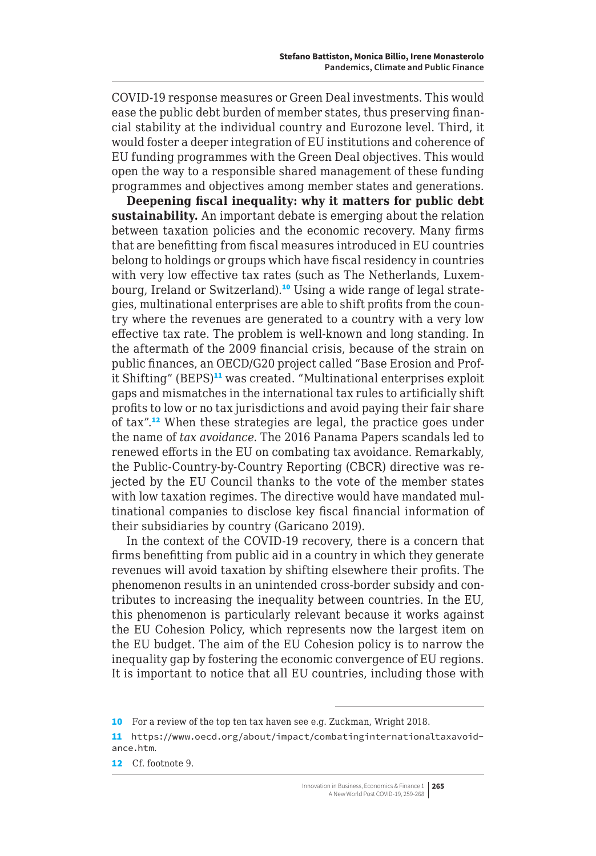COVID-19 response measures or Green Deal investments. This would ease the public debt burden of member states, thus preserving financial stability at the individual country and Eurozone level. Third, it would foster a deeper integration of EU institutions and coherence of EU funding programmes with the Green Deal objectives. This would open the way to a responsible shared management of these funding programmes and objectives among member states and generations.

**Deepening fiscal inequality: why it matters for public debt sustainability.** An important debate is emerging about the relation between taxation policies and the economic recovery. Many firms that are benefitting from fiscal measures introduced in EU countries belong to holdings or groups which have fiscal residency in countries with very low effective tax rates (such as The Netherlands, Luxembourg, Ireland or Switzerland).<sup>10</sup> Using a wide range of legal strategies, multinational enterprises are able to shift profits from the country where the revenues are generated to a country with a very low effective tax rate. The problem is well-known and long standing. In the aftermath of the 2009 financial crisis, because of the strain on public finances, an OECD/G20 project called "Base Erosion and Profit Shifting" (BEPS)<sup>11</sup> was created. "Multinational enterprises exploit gaps and mismatches in the international tax rules to artificially shift profits to low or no tax jurisdictions and avoid paying their fair share of tax".<sup>12</sup> When these strategies are legal, the practice goes under the name of *tax avoidance*. The 2016 Panama Papers scandals led to renewed efforts in the EU on combating tax avoidance. Remarkably, the Public-Country-by-Country Reporting (CBCR) directive was rejected by the EU Council thanks to the vote of the member states with low taxation regimes. The directive would have mandated multinational companies to disclose key fiscal financial information of their subsidiaries by country (Garicano 2019).

In the context of the COVID-19 recovery, there is a concern that firms benefitting from public aid in a country in which they generate revenues will avoid taxation by shifting elsewhere their profits. The phenomenon results in an unintended cross-border subsidy and contributes to increasing the inequality between countries. In the EU, this phenomenon is particularly relevant because it works against the EU Cohesion Policy, which represents now the largest item on the EU budget. The aim of the EU Cohesion policy is to narrow the inequality gap by fostering the economic convergence of EU regions. It is important to notice that all EU countries, including those with

<sup>10</sup> For a review of the top ten tax haven see e.g. Zuckman, Wright 2018.

<sup>11</sup> [https://www.oecd.org/about/impact/combatinginternationaltaxavoid](https://www.oecd.org/about/impact/combatinginternationaltaxavoidance.htm)[ance.htm](https://www.oecd.org/about/impact/combatinginternationaltaxavoidance.htm).

<sup>12</sup> Cf. footnote 9.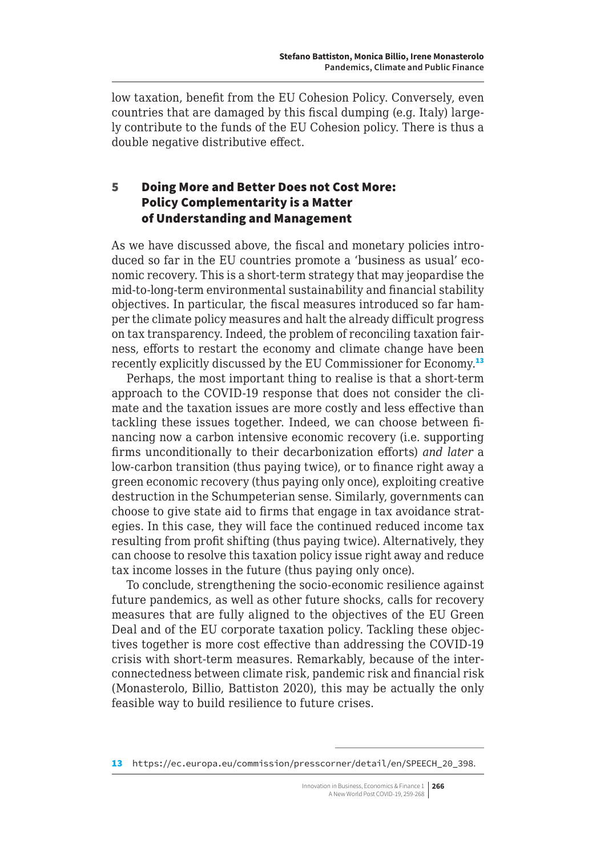<span id="page-7-0"></span>low taxation, benefit from the EU Cohesion Policy. Conversely, even countries that are damaged by this fiscal dumping (e.g. Italy) largely contribute to the funds of the EU Cohesion policy. There is thus a double negative distributive effect.

### 5 Doing More and Better Does not Cost More: Policy Complementarity is a Matter of Understanding and Management

As we have discussed above, the fiscal and monetary policies introduced so far in the EU countries promote a 'business as usual' economic recovery. This is a short-term strategy that may jeopardise the mid-to-long-term environmental sustainability and financial stability objectives. In particular, the fiscal measures introduced so far hamper the climate policy measures and halt the already difficult progress on tax transparency. Indeed, the problem of reconciling taxation fairness, efforts to restart the economy and climate change have been recently explicitly discussed by the EU Commissioner for Economy.<sup>13</sup>

Perhaps, the most important thing to realise is that a short-term approach to the COVID-19 response that does not consider the climate and the taxation issues are more costly and less effective than tackling these issues together. Indeed, we can choose between financing now a carbon intensive economic recovery (i.e. supporting firms unconditionally to their decarbonization efforts) *and later* a low-carbon transition (thus paying twice), or to finance right away a green economic recovery (thus paying only once), exploiting creative destruction in the Schumpeterian sense. Similarly, governments can choose to give state aid to firms that engage in tax avoidance strategies. In this case, they will face the continued reduced income tax resulting from profit shifting (thus paying twice). Alternatively, they can choose to resolve this taxation policy issue right away and reduce tax income losses in the future (thus paying only once).

To conclude, strengthening the socio-economic resilience against future pandemics, as well as other future shocks, calls for recovery measures that are fully aligned to the objectives of the EU Green Deal and of the EU corporate taxation policy. Tackling these objectives together is more cost effective than addressing the COVID-19 crisis with short-term measures. Remarkably, because of the interconnectedness between climate risk, pandemic risk and financial risk (Monasterolo, Billio, Battiston 2020), this may be actually the only feasible way to build resilience to future crises.

<sup>13</sup> https://ec.europa.eu/commission/presscorner/detail/en/SPEECH 20 398.